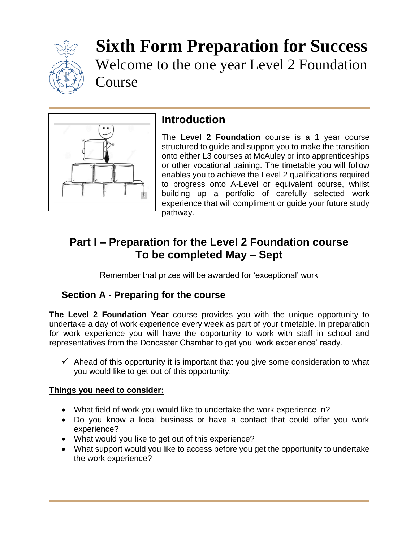

**Sixth Form Preparation for Success** Welcome to the one year Level 2 Foundation Course



# **Introduction**

The **Level 2 Foundation** course is a 1 year course structured to guide and support you to make the transition onto either L3 courses at McAuley or into apprenticeships or other vocational training. The timetable you will follow enables you to achieve the Level 2 qualifications required to progress onto A-Level or equivalent course, whilst building up a portfolio of carefully selected work experience that will compliment or guide your future study pathway.

## **Part I – Preparation for the Level 2 Foundation course To be completed May – Sept**

Remember that prizes will be awarded for 'exceptional' work

### **Section A - Preparing for the course**

**The Level 2 Foundation Year** course provides you with the unique opportunity to undertake a day of work experience every week as part of your timetable. In preparation for work experience you will have the opportunity to work with staff in school and representatives from the Doncaster Chamber to get you 'work experience' ready.

 $\checkmark$  Ahead of this opportunity it is important that you give some consideration to what you would like to get out of this opportunity.

### **Things you need to consider:**

- What field of work you would like to undertake the work experience in?
- Do you know a local business or have a contact that could offer you work experience?
- What would you like to get out of this experience?
- What support would you like to access before you get the opportunity to undertake the work experience?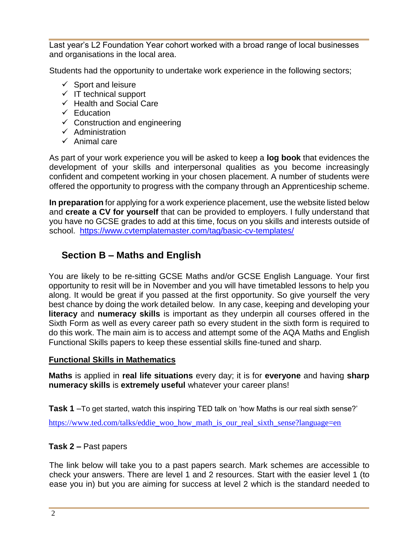Last year's L2 Foundation Year cohort worked with a broad range of local businesses and organisations in the local area.

Students had the opportunity to undertake work experience in the following sectors;

- $\checkmark$  Sport and leisure
- $\checkmark$  IT technical support
- $\checkmark$  Health and Social Care
- $\checkmark$  Education
- $\checkmark$  Construction and engineering
- $\checkmark$  Administration
- $\checkmark$  Animal care

As part of your work experience you will be asked to keep a **log book** that evidences the development of your skills and interpersonal qualities as you become increasingly confident and competent working in your chosen placement. A number of students were offered the opportunity to progress with the company through an Apprenticeship scheme.

**In preparation** for applying for a work experience placement, use the website listed below and **create a CV for yourself** that can be provided to employers. I fully understand that you have no GCSE grades to add at this time, focus on you skills and interests outside of school. <https://www.cvtemplatemaster.com/tag/basic-cv-templates/>

## **Section B – Maths and English**

You are likely to be re-sitting GCSE Maths and/or GCSE English Language. Your first opportunity to resit will be in November and you will have timetabled lessons to help you along. It would be great if you passed at the first opportunity. So give yourself the very best chance by doing the work detailed below. In any case, keeping and developing your **literacy** and **numeracy skills** is important as they underpin all courses offered in the Sixth Form as well as every career path so every student in the sixth form is required to do this work. The main aim is to access and attempt some of the AQA Maths and English Functional Skills papers to keep these essential skills fine-tuned and sharp.

### **Functional Skills in Mathematics**

**Maths** is applied in **real life situations** every day; it is for **everyone** and having **sharp numeracy skills** is **extremely useful** whatever your career plans!

**Task 1** –To get started, watch this inspiring TED talk on 'how Maths is our real sixth sense?' [https://www.ted.com/talks/eddie\\_woo\\_how\\_math\\_is\\_our\\_real\\_sixth\\_sense?language=en](https://www.ted.com/talks/eddie_woo_how_math_is_our_real_sixth_sense?language=en)

### **Task 2 –** Past papers

The link below will take you to a past papers search. Mark schemes are accessible to check your answers. There are level 1 and 2 resources. Start with the easier level 1 (to ease you in) but you are aiming for success at level 2 which is the standard needed to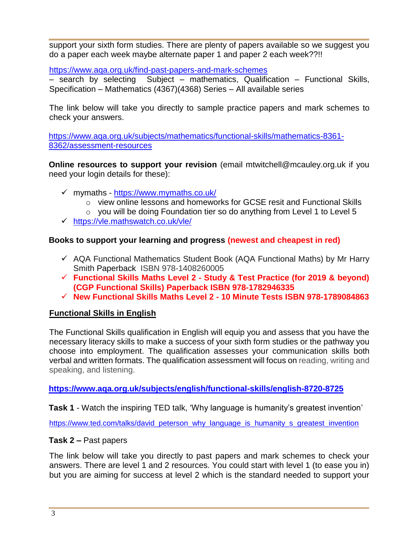support your sixth form studies. There are plenty of papers available so we suggest you do a paper each week maybe alternate paper 1 and paper 2 each week??!!

<https://www.aqa.org.uk/find-past-papers-and-mark-schemes>

– search by selecting Subject – mathematics, Qualification – Functional Skills, Specification – Mathematics (4367)(4368) Series – All available series

The link below will take you directly to sample practice papers and mark schemes to check your answers.

[https://www.aqa.org.uk/subjects/mathematics/functional-skills/mathematics-8361-](https://www.aqa.org.uk/subjects/mathematics/functional-skills/mathematics-8361-8362/assessment-resources) [8362/assessment-resources](https://www.aqa.org.uk/subjects/mathematics/functional-skills/mathematics-8361-8362/assessment-resources)

**Online resources to support your revision** (email mtwitchell@mcauley.org.uk if you need your login details for these):

- mymaths <https://www.mymaths.co.uk/>
	- $\circ$  view online lessons and homeworks for GCSE resit and Functional Skills
	- $\circ$  you will be doing Foundation tier so do anything from Level 1 to Level 5
- <https://vle.mathswatch.co.uk/vle/>

### **Books to support your learning and progress (newest and cheapest in red)**

- $\checkmark$  AQA Functional Mathematics Student Book (AQA Functional Maths) by Mr Harry Smith Paperback ISBN 978-1408260005
- **Functional Skills Maths Level 2 - Study & Test Practice (for 2019 & beyond) (CGP Functional Skills) Paperback ISBN 978-1782946335**
- **New Functional Skills Maths Level 2 - 10 Minute Tests ISBN 978-1789084863**

### **Functional Skills in English**

The Functional Skills qualification in English will equip you and assess that you have the necessary literacy skills to make a success of your sixth form studies or the pathway you choose into employment. The qualification assesses your communication skills both verbal and written formats. The qualification assessment will focus on reading, writing and speaking, and listening.

**<https://www.aqa.org.uk/subjects/english/functional-skills/english-8720-8725>**

**Task 1** - Watch the inspiring TED talk, 'Why language is humanity's greatest invention'

[https://www.ted.com/talks/david\\_peterson\\_why\\_language\\_is\\_humanity\\_s\\_greatest\\_invention](https://www.ted.com/talks/david_peterson_why_language_is_humanity_s_greatest_invention)

#### **Task 2 –** Past papers

The link below will take you directly to past papers and mark schemes to check your answers. There are level 1 and 2 resources. You could start with level 1 (to ease you in) but you are aiming for success at level 2 which is the standard needed to support your